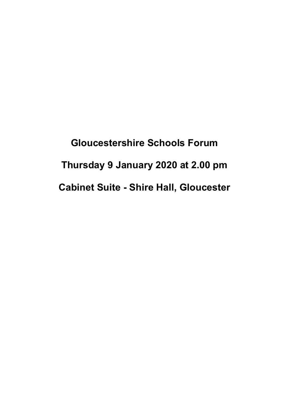**Gloucestershire Schools Forum Thursday 9 January 2020 at 2.00 pm Cabinet Suite - Shire Hall, Gloucester**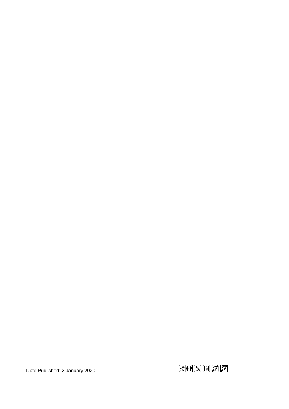Date Published: 2 January 2020

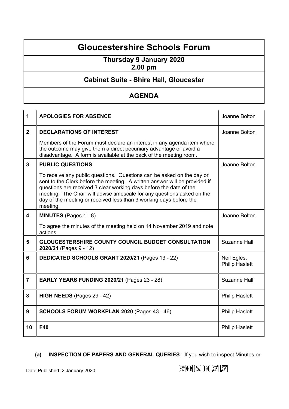## **Gloucestershire Schools Forum**

# **Thursday 9 January 2020**

#### **2.00 pm**

### **Cabinet Suite - Shire Hall, Gloucester**

#### **AGENDA**

| 1                       | <b>APOLOGIES FOR ABSENCE</b>                                                                                                                                                                                                                                                                                                                                                           | Joanne Bolton                        |
|-------------------------|----------------------------------------------------------------------------------------------------------------------------------------------------------------------------------------------------------------------------------------------------------------------------------------------------------------------------------------------------------------------------------------|--------------------------------------|
| $\overline{2}$          | <b>DECLARATIONS OF INTEREST</b>                                                                                                                                                                                                                                                                                                                                                        | Joanne Bolton                        |
|                         | Members of the Forum must declare an interest in any agenda item where<br>the outcome may give them a direct pecuniary advantage or avoid a<br>disadvantage. A form is available at the back of the meeting room.                                                                                                                                                                      |                                      |
| 3                       | <b>PUBLIC QUESTIONS</b>                                                                                                                                                                                                                                                                                                                                                                | Joanne Bolton                        |
|                         | To receive any public questions. Questions can be asked on the day or<br>sent to the Clerk before the meeting. A written answer will be provided if<br>questions are received 3 clear working days before the date of the<br>meeting. The Chair will advise timescale for any questions asked on the<br>day of the meeting or received less than 3 working days before the<br>meeting. |                                      |
| $\overline{\mathbf{4}}$ | MINUTES (Pages 1 - 8)                                                                                                                                                                                                                                                                                                                                                                  | Joanne Bolton                        |
|                         | To agree the minutes of the meeting held on 14 November 2019 and note<br>actions.                                                                                                                                                                                                                                                                                                      |                                      |
| 5                       | <b>GLOUCESTERSHIRE COUNTY COUNCIL BUDGET CONSULTATION</b><br>2020/21 (Pages 9 - 12)                                                                                                                                                                                                                                                                                                    | Suzanne Hall                         |
| 6                       | DEDICATED SCHOOLS GRANT 2020/21 (Pages 13 - 22)                                                                                                                                                                                                                                                                                                                                        | Neil Egles,<br><b>Philip Haslett</b> |
| $\overline{7}$          | <b>EARLY YEARS FUNDING 2020/21 (Pages 23 - 28)</b>                                                                                                                                                                                                                                                                                                                                     | <b>Suzanne Hall</b>                  |
| 8                       | HIGH NEEDS (Pages 29 - 42)                                                                                                                                                                                                                                                                                                                                                             | <b>Philip Haslett</b>                |
| 9                       | SCHOOLS FORUM WORKPLAN 2020 (Pages 43 - 46)                                                                                                                                                                                                                                                                                                                                            | <b>Philip Haslett</b>                |
| 10                      | F40                                                                                                                                                                                                                                                                                                                                                                                    | <b>Philip Haslett</b>                |

#### **(a) INSPECTION OF PAPERS AND GENERAL QUERIES** - If you wish to inspect Minutes or

Date Published: 2 January 2020